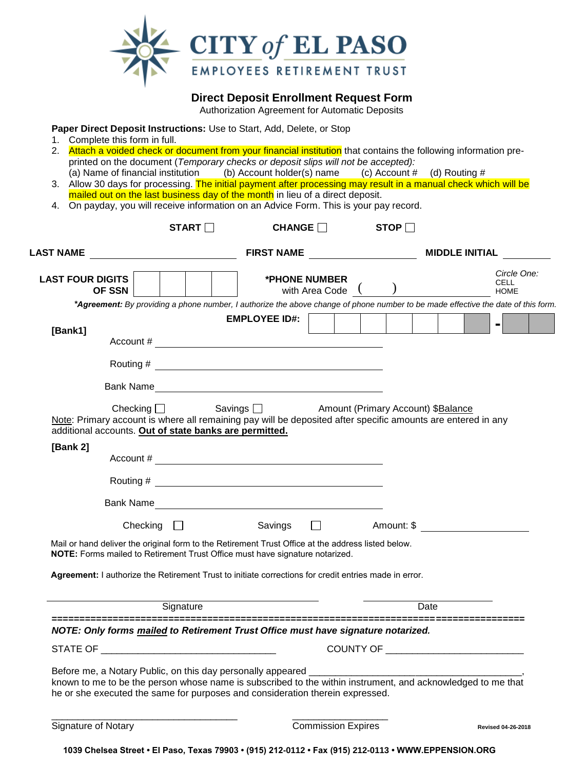

**Direct Deposit Enrollment Request Form**

Authorization Agreement for Automatic Deposits

**Paper Direct Deposit Instructions:** Use to Start, Add, Delete, or Stop

- 1. Complete this form in full.
- 2. Attach a voided check or document from your financial institution that contains the following information preprinted on the document (*Temporary checks or deposit slips will not be accepted):*
- (a) Name of financial institution (b) Account holder(s) name (c) Account  $\#$  (d) Routing  $\#$ 3. Allow 30 days for processing. The initial payment after processing may result in a manual check which will be
- mailed out on the last business day of the month in lieu of a direct deposit. 4. On payday, you will receive information on an Advice Form. This is your pay record.

|                                                                                                                                                                                    | START $\Box$           | CHANGE               |                           | STOP $\square$                     |                                                                                                                                   |  |  |
|------------------------------------------------------------------------------------------------------------------------------------------------------------------------------------|------------------------|----------------------|---------------------------|------------------------------------|-----------------------------------------------------------------------------------------------------------------------------------|--|--|
|                                                                                                                                                                                    |                        |                      |                           |                                    | <b>MIDDLE INITIAL</b>                                                                                                             |  |  |
| <b>LAST FOUR DIGITS</b><br>OF SSN                                                                                                                                                  |                        |                      | <b>*PHONE NUMBER</b>      | with Area Code ( )                 | Circle One:<br><b>CELL</b><br><b>HOME</b>                                                                                         |  |  |
|                                                                                                                                                                                    |                        |                      |                           |                                    | *Agreement: By providing a phone number, I authorize the above change of phone number to be made effective the date of this form. |  |  |
|                                                                                                                                                                                    |                        | <b>EMPLOYEE ID#:</b> |                           |                                    | $\blacksquare$                                                                                                                    |  |  |
| [Bank1]                                                                                                                                                                            |                        |                      |                           |                                    |                                                                                                                                   |  |  |
|                                                                                                                                                                                    |                        |                      |                           |                                    |                                                                                                                                   |  |  |
|                                                                                                                                                                                    |                        |                      |                           |                                    |                                                                                                                                   |  |  |
| Note: Primary account is where all remaining pay will be deposited after specific amounts are entered in any<br>additional accounts. Out of state banks are permitted.             | Checking $\Box$        | Savings $\Box$       |                           | Amount (Primary Account) \$Balance |                                                                                                                                   |  |  |
| [Bank 2]                                                                                                                                                                           |                        |                      |                           |                                    |                                                                                                                                   |  |  |
|                                                                                                                                                                                    |                        |                      |                           |                                    |                                                                                                                                   |  |  |
|                                                                                                                                                                                    |                        |                      |                           |                                    |                                                                                                                                   |  |  |
|                                                                                                                                                                                    | $\Box$ Checking $\Box$ | Savings              |                           |                                    | $\Box$ Amount: \$                                                                                                                 |  |  |
| Mail or hand deliver the original form to the Retirement Trust Office at the address listed below.<br>NOTE: Forms mailed to Retirement Trust Office must have signature notarized. |                        |                      |                           |                                    |                                                                                                                                   |  |  |
| Agreement: I authorize the Retirement Trust to initiate corrections for credit entries made in error.                                                                              |                        |                      |                           |                                    |                                                                                                                                   |  |  |
| Signature                                                                                                                                                                          |                        |                      |                           |                                    | Date                                                                                                                              |  |  |
| NOTE: Only forms mailed to Retirement Trust Office must have signature notarized.                                                                                                  |                        |                      |                           | =======================            |                                                                                                                                   |  |  |
|                                                                                                                                                                                    |                        |                      |                           |                                    |                                                                                                                                   |  |  |
| he or she executed the same for purposes and consideration therein expressed.                                                                                                      |                        |                      |                           |                                    |                                                                                                                                   |  |  |
| Signature of Notary                                                                                                                                                                |                        |                      | <b>Commission Expires</b> |                                    | Revised 04-26-2018                                                                                                                |  |  |